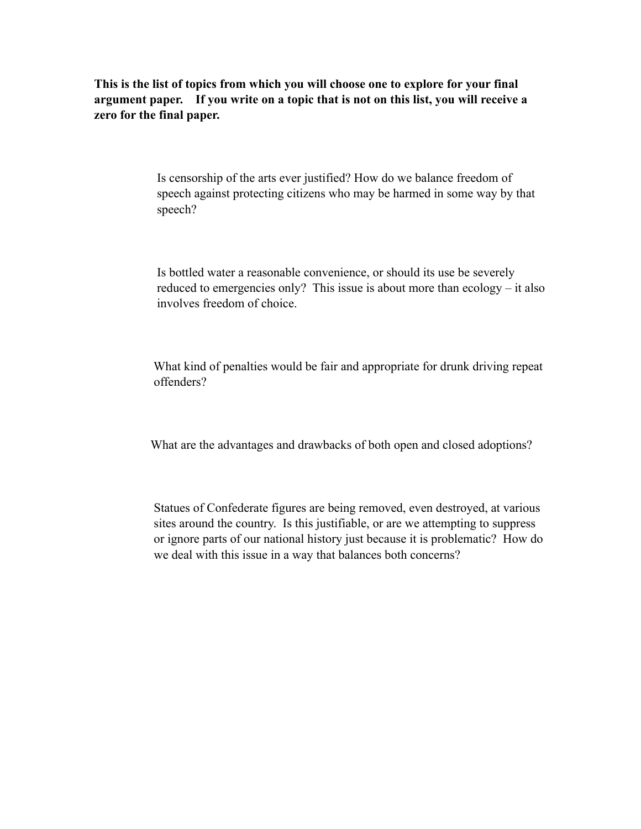**This is the list of topics from which you will choose one to explore for your final argument paper. If you write on a topic that is not on this list, you will receive a zero for the final paper.** 

> Is censorship of the arts ever justified? How do we balance freedom of speech against protecting citizens who may be harmed in some way by that speech?

 Is bottled water a reasonable convenience, or should its use be severely reduced to emergencies only? This issue is about more than ecology – it also involves freedom of choice.

 What kind of penalties would be fair and appropriate for drunk driving repeat offenders?

What are the advantages and drawbacks of both open and closed adoptions?

 Statues of Confederate figures are being removed, even destroyed, at various sites around the country. Is this justifiable, or are we attempting to suppress or ignore parts of our national history just because it is problematic? How do we deal with this issue in a way that balances both concerns?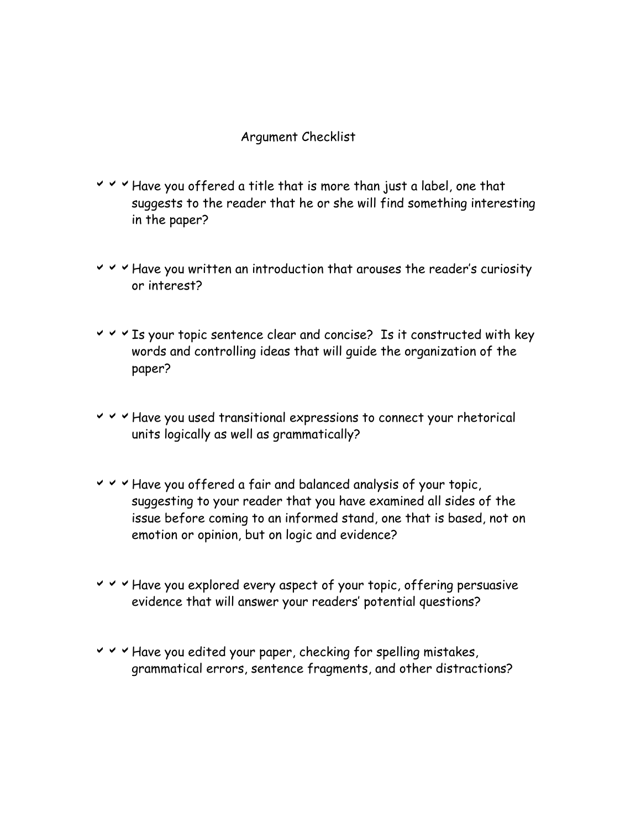## Argument Checklist

- $\vee$   $\vee$   $\vee$  Have you offered a title that is more than just a label, one that suggests to the reader that he or she will find something interesting in the paper?
- $\vee$   $\vee$   $\vee$  Have you written an introduction that arouses the reader's curiosity or interest?
- $\vee$   $\vee$   $\vee$  Is your topic sentence clear and concise? Is it constructed with key words and controlling ideas that will guide the organization of the paper?
- $\vee$   $\vee$   $\vee$  Have you used transitional expressions to connect your rhetorical units logically as well as grammatically?
- $\vee$   $\vee$   $\vee$  Have you offered a fair and balanced analysis of your topic, suggesting to your reader that you have examined all sides of the issue before coming to an informed stand, one that is based, not on emotion or opinion, but on logic and evidence?
- $\vee$   $\vee$   $\vee$  Have you explored every aspect of your topic, offering persuasive evidence that will answer your readers' potential questions?
- $\vee$   $\vee$   $\vee$  Have you edited your paper, checking for spelling mistakes, grammatical errors, sentence fragments, and other distractions?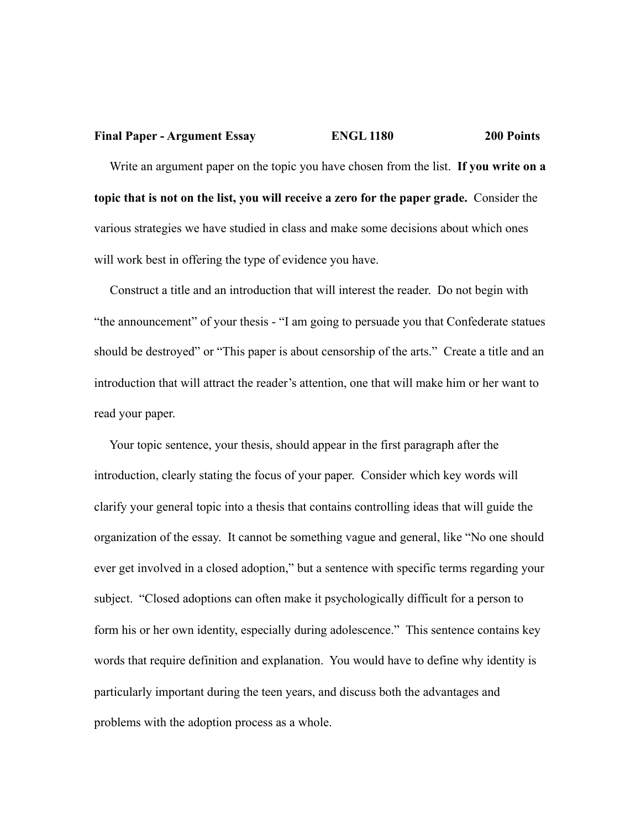## **Final Paper - Argument Essay ENGL 1180 200 Points**

 Write an argument paper on the topic you have chosen from the list. **If you write on a topic that is not on the list, you will receive a zero for the paper grade.** Consider the various strategies we have studied in class and make some decisions about which ones will work best in offering the type of evidence you have.

 Construct a title and an introduction that will interest the reader. Do not begin with "the announcement" of your thesis - "I am going to persuade you that Confederate statues should be destroyed" or "This paper is about censorship of the arts." Create a title and an introduction that will attract the reader's attention, one that will make him or her want to read your paper.

 Your topic sentence, your thesis, should appear in the first paragraph after the introduction, clearly stating the focus of your paper. Consider which key words will clarify your general topic into a thesis that contains controlling ideas that will guide the organization of the essay. It cannot be something vague and general, like "No one should ever get involved in a closed adoption," but a sentence with specific terms regarding your subject. "Closed adoptions can often make it psychologically difficult for a person to form his or her own identity, especially during adolescence." This sentence contains key words that require definition and explanation. You would have to define why identity is particularly important during the teen years, and discuss both the advantages and problems with the adoption process as a whole.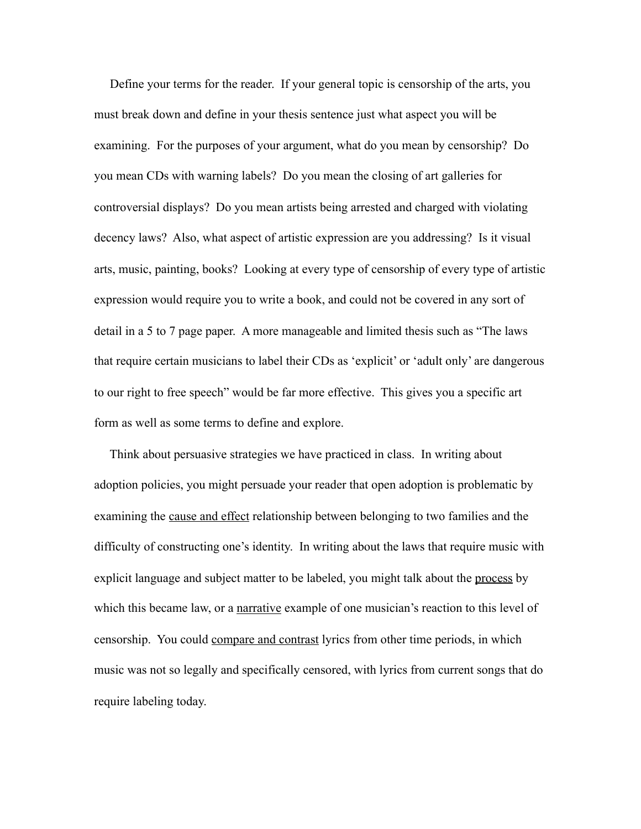Define your terms for the reader. If your general topic is censorship of the arts, you must break down and define in your thesis sentence just what aspect you will be examining. For the purposes of your argument, what do you mean by censorship? Do you mean CDs with warning labels? Do you mean the closing of art galleries for controversial displays? Do you mean artists being arrested and charged with violating decency laws? Also, what aspect of artistic expression are you addressing? Is it visual arts, music, painting, books? Looking at every type of censorship of every type of artistic expression would require you to write a book, and could not be covered in any sort of detail in a 5 to 7 page paper. A more manageable and limited thesis such as "The laws that require certain musicians to label their CDs as 'explicit' or 'adult only' are dangerous to our right to free speech" would be far more effective. This gives you a specific art form as well as some terms to define and explore.

 Think about persuasive strategies we have practiced in class. In writing about adoption policies, you might persuade your reader that open adoption is problematic by examining the cause and effect relationship between belonging to two families and the difficulty of constructing one's identity. In writing about the laws that require music with explicit language and subject matter to be labeled, you might talk about the process by which this became law, or a narrative example of one musician's reaction to this level of censorship. You could compare and contrast lyrics from other time periods, in which music was not so legally and specifically censored, with lyrics from current songs that do require labeling today.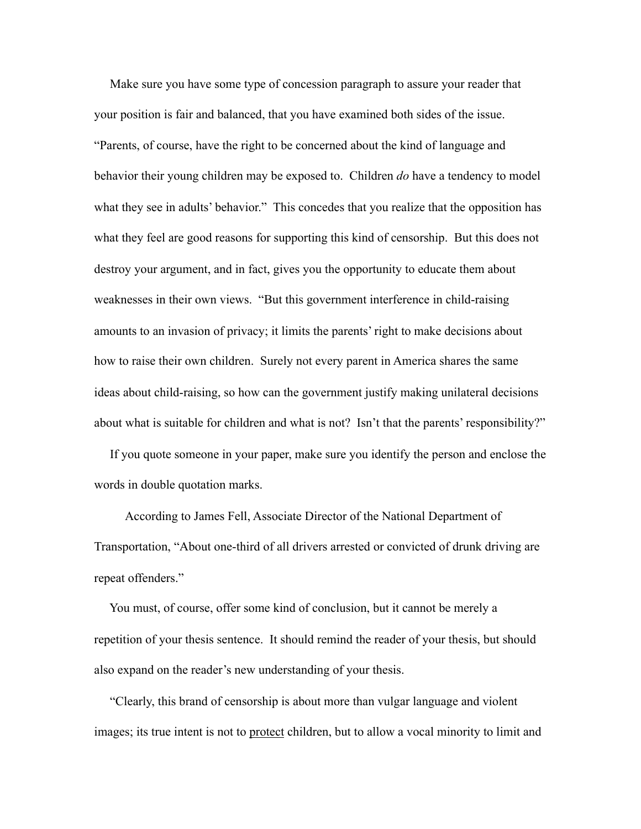Make sure you have some type of concession paragraph to assure your reader that your position is fair and balanced, that you have examined both sides of the issue. "Parents, of course, have the right to be concerned about the kind of language and behavior their young children may be exposed to. Children *do* have a tendency to model what they see in adults' behavior." This concedes that you realize that the opposition has what they feel are good reasons for supporting this kind of censorship. But this does not destroy your argument, and in fact, gives you the opportunity to educate them about weaknesses in their own views. "But this government interference in child-raising amounts to an invasion of privacy; it limits the parents' right to make decisions about how to raise their own children. Surely not every parent in America shares the same ideas about child-raising, so how can the government justify making unilateral decisions about what is suitable for children and what is not? Isn't that the parents' responsibility?"

 If you quote someone in your paper, make sure you identify the person and enclose the words in double quotation marks.

 According to James Fell, Associate Director of the National Department of Transportation, "About one-third of all drivers arrested or convicted of drunk driving are repeat offenders."

 You must, of course, offer some kind of conclusion, but it cannot be merely a repetition of your thesis sentence. It should remind the reader of your thesis, but should also expand on the reader's new understanding of your thesis.

 "Clearly, this brand of censorship is about more than vulgar language and violent images; its true intent is not to protect children, but to allow a vocal minority to limit and